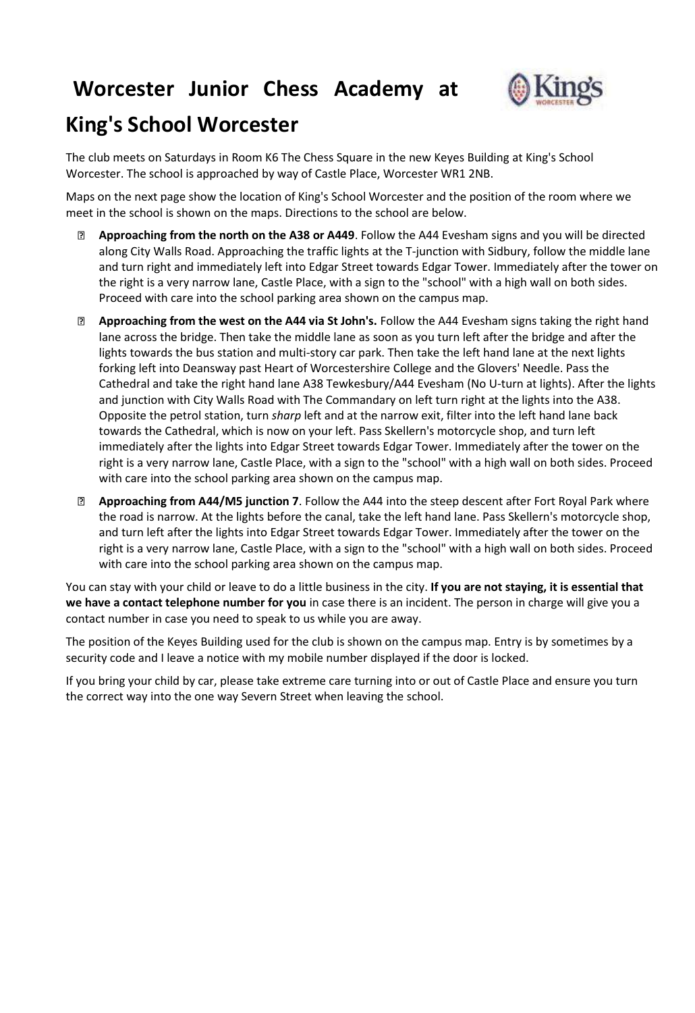# **Worcester Junior Chess Academy at**



# **King's School Worcester**

The club meets on Saturdays in Room K6 The Chess Square in the new Keyes Building at King's School Worcester. The school is approached by way of Castle Place, Worcester WR1 2NB.

Maps on the next page show the location of King's School Worcester and the position of the room where we meet in the school is shown on the maps. Directions to the school are below.

- $\overline{2}$ **Approaching from the north on the A38 or A449**. Follow the A44 Evesham signs and you will be directed along City Walls Road. Approaching the traffic lights at the T-junction with Sidbury, follow the middle lane and turn right and immediately left into Edgar Street towards Edgar Tower. Immediately after the tower on the right is a very narrow lane, Castle Place, with a sign to the "school" with a high wall on both sides. Proceed with care into the school parking area shown on the campus map.
- **Approaching from the west on the A44 via St John's.** Follow the A44 Evesham signs taking the right hand lane across the bridge. Then take the middle lane as soon as you turn left after the bridge and after the lights towards the bus station and multi-story car park. Then take the left hand lane at the next lights forking left into Deansway past Heart of Worcestershire College and the Glovers' Needle. Pass the Cathedral and take the right hand lane A38 Tewkesbury/A44 Evesham (No U-turn at lights). After the lights and junction with City Walls Road with The Commandary on left turn right at the lights into the A38. Opposite the petrol station, turn *sharp* left and at the narrow exit, filter into the left hand lane back towards the Cathedral, which is now on your left. Pass Skellern's motorcycle shop, and turn left immediately after the lights into Edgar Street towards Edgar Tower. Immediately after the tower on the right is a very narrow lane, Castle Place, with a sign to the "school" with a high wall on both sides. Proceed with care into the school parking area shown on the campus map.
- **Approaching from A44/M5 junction 7**. Follow the A44 into the steep descent after Fort Royal Park where the road is narrow. At the lights before the canal, take the left hand lane. Pass Skellern's motorcycle shop, and turn left after the lights into Edgar Street towards Edgar Tower. Immediately after the tower on the right is a very narrow lane, Castle Place, with a sign to the "school" with a high wall on both sides. Proceed with care into the school parking area shown on the campus map.

You can stay with your child or leave to do a little business in the city. **If you are not staying, it is essential that we have a contact telephone number for you** in case there is an incident. The person in charge will give you a contact number in case you need to speak to us while you are away.

The position of the Keyes Building used for the club is shown on the campus map. Entry is by sometimes by a security code and I leave a notice with my mobile number displayed if the door is locked.

If you bring your child by car, please take extreme care turning into or out of Castle Place and ensure you turn the correct way into the one way Severn Street when leaving the school.